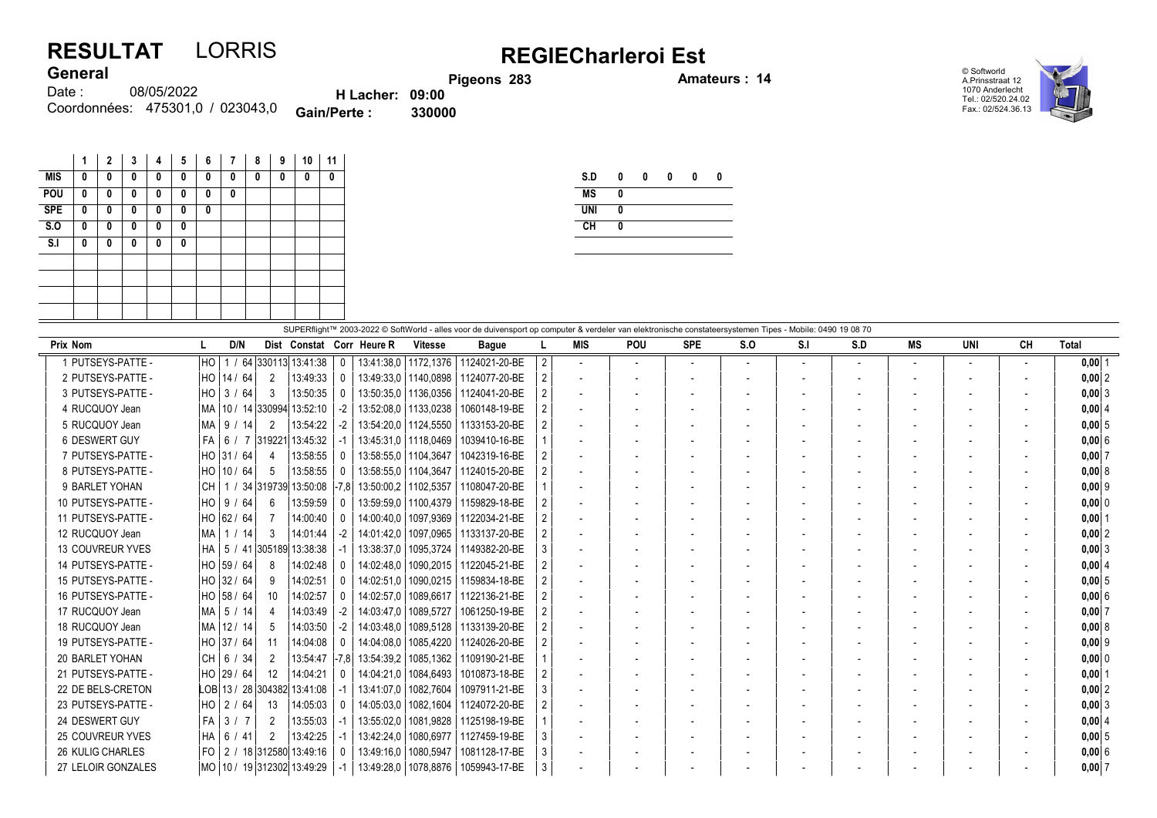## RESULTAT LORRIS REGIECharleroi Est

Pigeons 283 **Amateurs : 14** 

© Softworld A.Prinsstraat 12 1070 Anderlecht Tel.: 02/520.24.02 Fax.: 02/524.36.13



08/05/2022 Coordonnées: 475301,0 / 023043,0 **Gain/Perte : 330000** Date : **General** H Lacher: 09:00<br>Perte : 330000

| Gain/Perte : |
|--------------|
|              |
|              |

|            | 1 | $\mathbf{2}$ | 3 | 4 | 5 | 6 | 7 | 8 | 9 | 10 | 11 |
|------------|---|--------------|---|---|---|---|---|---|---|----|----|
| MIS        | 0 | 0            | 0 | 0 | 0 | 0 | 0 | 0 | 0 | 0  | 0  |
| POU        | 0 | 0            | 0 | 0 | 0 | 0 | 0 |   |   |    |    |
| <b>SPE</b> | 0 | 0            | 0 | 0 | 0 | 0 |   |   |   |    |    |
| S.0        | 0 | 0            | 0 | 0 | 0 |   |   |   |   |    |    |
| S.I        | 0 | 0            | 0 | 0 | 0 |   |   |   |   |    |    |
|            |   |              |   |   |   |   |   |   |   |    |    |
|            |   |              |   |   |   |   |   |   |   |    |    |
|            |   |              |   |   |   |   |   |   |   |    |    |
|            |   |              |   |   |   |   |   |   |   |    |    |

| S.D        | 0 | 0 | 0 | 0 | 0 |
|------------|---|---|---|---|---|
| <b>MS</b>  | 0 |   |   |   |   |
| <b>UNI</b> | 0 |   |   |   |   |
| CH         | 0 |   |   |   |   |
|            |   |   |   |   |   |

|                         | SUPERflight™ 2003-2022 © SoftWorld - alles voor de duivensport op computer & verdeler van elektronische constateersystemen Tipes - Mobile: 0490 19 08 70 |              |                 |                                  |             |                           |                        |               |                |                          |     |                          |     |     |     |                          |                          |           |            |
|-------------------------|----------------------------------------------------------------------------------------------------------------------------------------------------------|--------------|-----------------|----------------------------------|-------------|---------------------------|------------------------|---------------|----------------|--------------------------|-----|--------------------------|-----|-----|-----|--------------------------|--------------------------|-----------|------------|
| <b>Prix Nom</b>         |                                                                                                                                                          | D/N          |                 |                                  |             | Dist Constat Corr Heure R | <b>Vitesse</b>         | <b>Bague</b>  |                | <b>MIS</b>               | POU | <b>SPE</b>               | S.O | S.I | S.D | <b>MS</b>                | <b>UNI</b>               | <b>CH</b> | Total      |
| 1 PUTSEYS-PATTE -       | I HO                                                                                                                                                     |              |                 | 64 330113 13:41:38               | $\mathbf 0$ |                           | 13:41:38.0   1172.1376 | 1124021-20-BE | $\overline{2}$ |                          |     | $\overline{\phantom{a}}$ |     |     |     |                          | $\overline{\phantom{a}}$ |           | $0.00$   1 |
| 2 PUTSEYS-PATTE -       |                                                                                                                                                          | HO   14 / 64 | 2               | 13:49:33                         | $\Omega$    |                           | 13:49:33,0   1140,0898 | 1124077-20-BE |                |                          |     |                          |     |     |     |                          |                          |           | 0,00 2     |
| 3 PUTSEYS-PATTE -       |                                                                                                                                                          | HO 3 / 64    | 3               | 13:50:35                         | $\Omega$    | 13:50:35,0                | 1136.0356              | 1124041-20-BE |                | $\overline{\phantom{a}}$ |     |                          |     |     |     |                          |                          |           | $0,00$ 3   |
| 4 RUCQUOY Jean          |                                                                                                                                                          |              |                 | MA  10 / 14  330994  13:52:10    | $-2$        |                           | 13:52:08,0   1133,0238 | 1060148-19-BE |                |                          |     |                          |     |     |     |                          |                          |           | 0.0014     |
| 5 RUCQUOY Jean          |                                                                                                                                                          | MA   9 / 14  | $\overline{2}$  | 13:54:22                         | $-2$        |                           | 13:54:20.0   1124.5550 | 1133153-20-BE |                | $\overline{\phantom{a}}$ |     |                          |     |     |     |                          |                          |           | 0.0015     |
| 6 DESWERT GUY           |                                                                                                                                                          |              | FA 6 / 7 319221 | 13:45:32                         |             |                           | 13:45:31.0   1118.0469 | 1039410-16-BE |                |                          |     |                          |     |     |     |                          |                          |           | $0.00$ 6   |
| 7 PUTSEYS-PATTE -       |                                                                                                                                                          | HO 31 / 64   | 4               | 13:58:55                         | $\Omega$    |                           | 13:58:55,0   1104,3647 | 1042319-16-BE |                | $\overline{\phantom{a}}$ |     |                          |     |     |     |                          |                          |           | $0,00$ 7   |
| 8 PUTSEYS-PATTE -       |                                                                                                                                                          | HO 10 / 64   | 5               | 13:58:55                         |             |                           | 13:58:55.0   1104.3647 | 1124015-20-BE |                | $\overline{\phantom{a}}$ |     |                          |     |     |     |                          |                          |           | 0.0018     |
| 9 BARLET YOHAN          | l CH I                                                                                                                                                   |              |                 | 1 / 34 319739 13:50:08           | $ -7.8 $    | 13:50:00.2   1102.5357    |                        | 1108047-20-BE |                |                          |     |                          |     |     |     |                          |                          |           | $0.00$  9  |
| 10 PUTSEYS-PATTE -      |                                                                                                                                                          | HO   9 / 64  | - 6             | 13:59:59                         |             | 13:59:59.0                | 1100.4379              | 1159829-18-BE |                | $\overline{\phantom{a}}$ |     |                          |     |     |     |                          |                          |           | 0.00 0     |
| 11 PUTSEYS-PATTE -      |                                                                                                                                                          | HO 62 / 64   |                 | 14:00:40                         | $\Omega$    | 14:00:40.0                | 1097.9369              | 1122034-21-BE |                |                          |     |                          |     |     |     |                          |                          |           | 0.0011     |
| 12 RUCQUOY Jean         |                                                                                                                                                          | MA   1 / 14  | 3               | 14:01:44                         | $-2$        | 14:01:42,0                | 1097,0965              | 1133137-20-BE |                | $\overline{\phantom{a}}$ |     |                          |     |     |     |                          |                          |           | $0,00$ 2   |
| 13 COUVREUR YVES        |                                                                                                                                                          |              |                 | HA   5 / 41 305189 13:38:38      |             | 13:38:37,0                | 1095,3724              | 1149382-20-BE |                |                          |     |                          |     |     |     |                          |                          |           | $0,00$ 3   |
| 14 PUTSEYS-PATTE -      |                                                                                                                                                          | HO 39 / 64   | -8              | 14:02:48                         | $\Omega$    | 14:02:48.0                | 1090,2015              | 1122045-21-BE |                | $\overline{a}$           |     |                          |     |     |     |                          |                          |           | $0,00$ 4   |
| 15 PUTSEYS-PATTE -      |                                                                                                                                                          | HO 32 / 64   | -9              | 14:02:51                         | $\Omega$    | 14:02:51.0                | 1090.0215              | 1159834-18-BE |                | $\overline{\phantom{a}}$ |     |                          |     |     |     |                          |                          |           | 0.0015     |
| 16 PUTSEYS-PATTE -      |                                                                                                                                                          | HO  58 / 64  | 10              | 14:02:57                         | $\Omega$    | 14:02:57.0                | 1089.6617              | 1122136-21-BE |                |                          |     |                          |     |     |     |                          |                          |           | 0.0016     |
| 17 RUCQUOY Jean         |                                                                                                                                                          | MA   5 / 14  | $\overline{4}$  | 14:03:49                         | $-2$        | 14:03:47.0                | 1089.5727              | 1061250-19-BE |                | $\overline{\phantom{a}}$ |     |                          |     |     |     |                          |                          |           | $0.00$ 7   |
| 18 RUCQUOY Jean         |                                                                                                                                                          | MA 12 / 14   | -5              | 14:03:50                         | $-2$        | 14:03:48.0                | 1089,5128              | 1133139-20-BE |                | $\overline{\phantom{a}}$ |     |                          |     |     |     |                          |                          |           | 0,008      |
| 19 PUTSEYS-PATTE -      |                                                                                                                                                          | HO 37 / 64   | 11              | 14:04:08                         |             | 14:04:08.0                | 1085.4220              | 1124026-20-BE |                | $\overline{\phantom{a}}$ |     |                          |     |     |     |                          |                          |           | $0,00$ 9   |
| 20 BARLET YOHAN         |                                                                                                                                                          | CH 6 / 34    | 2               | $13:54:47$ -7.8                  |             | 13:54:39.2                | 1085,1362              | 1109190-21-BE |                |                          |     |                          |     |     |     |                          |                          |           | 0.00 0     |
| 21 PUTSEYS-PATTE -      |                                                                                                                                                          | HO 29 / 64   | 12              | 14:04:21                         | $\Omega$    | 14:04:21.0                | 1084.6493              | 1010873-18-BE |                |                          |     |                          |     |     |     |                          |                          |           | $0.00$   1 |
| 22 DE BELS-CRETON       |                                                                                                                                                          |              |                 | LOB 13 / 28 304382 13:41:08      |             | 13:41:07.0                | 1082.7604              | 1097911-21-BE |                |                          |     |                          |     |     |     |                          |                          |           | 0.0012     |
| 23 PUTSEYS-PATTE -      |                                                                                                                                                          | HO   2 / 64  | -13             | 14:05:03                         | $\Omega$    | 14:05:03.0                | 1082,1604              | 1124072-20-BE |                |                          |     |                          |     |     |     |                          |                          |           | $0,00$ 3   |
| 24 DESWERT GUY          | FA                                                                                                                                                       | 3/7          | $\overline{2}$  | 13:55:03                         |             | 13:55:02.0                | 1081,9828              | 1125198-19-BE |                |                          |     |                          |     |     |     |                          |                          |           | $0,00$ 4   |
| <b>25 COUVREUR YVES</b> | HA                                                                                                                                                       | 6 / 41       | 2               | 13:42:25                         |             | 13:42:24.0                | 1080,6977              | 1127459-19-BE |                | $\overline{\phantom{a}}$ |     |                          |     |     |     | $\overline{\phantom{a}}$ |                          |           | 0.0015     |
| <b>26 KULIG CHARLES</b> | l FO                                                                                                                                                     |              |                 | 2 / 18 312580 13:49:16           |             | 13:49:16.0                | 1080.5947              | 1081128-17-BE |                | $\overline{\phantom{a}}$ |     |                          |     |     |     |                          |                          |           | 0,00 6     |
| 27 LELOIR GONZALES      |                                                                                                                                                          |              |                 | MO   10 / 19   312302   13:49:29 |             | 13:49:28.0                | 1078,8876              | 1059943-17-BE | 3              |                          |     |                          |     |     |     |                          |                          |           | $0,00$ 7   |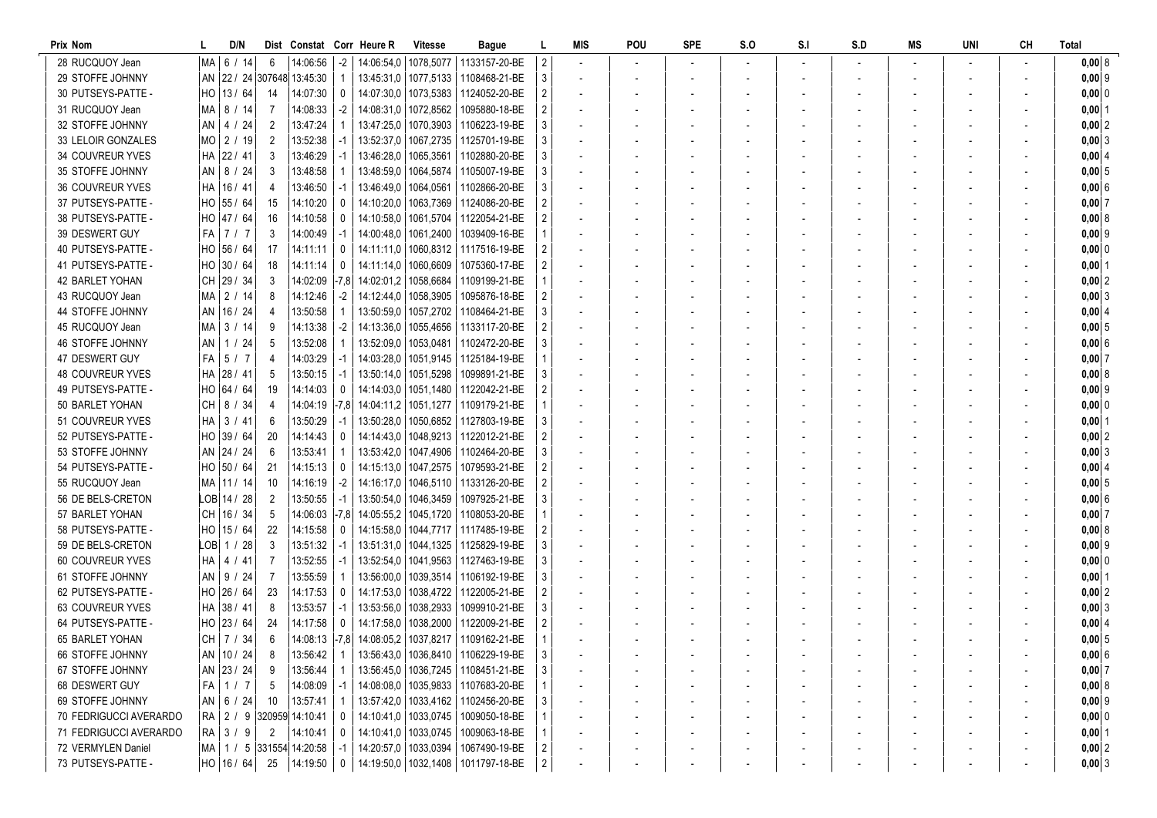| Prix Nom                                   |    | D/N              |                | Dist Constat Corr Heure R             |                  |                        | <b>Vitesse</b> | Bague                                                                            |   | MIS                      | POU | <b>SPE</b> | S.O | S <sub>1</sub> | S.D | MS | UNI | <b>CH</b> | Total               |
|--------------------------------------------|----|------------------|----------------|---------------------------------------|------------------|------------------------|----------------|----------------------------------------------------------------------------------|---|--------------------------|-----|------------|-----|----------------|-----|----|-----|-----------|---------------------|
| 28 RUCQUOY Jean                            | Ma | 6 / 14           | 6              | 14:06:56                              | $-2$             |                        |                | 14:06:54.0   1078.5077   1133157-20-BE                                           | 2 |                          |     |            |     |                |     |    |     |           | 0,008               |
| 29 STOFFE JOHNNY                           |    |                  |                | AN 22 / 24 307648 13:45:30            | -1               |                        |                | 13:45:31.0   1077.5133   1108468-21-BE                                           | 3 |                          |     |            |     |                |     |    |     |           | $0,00$ 9            |
| 30 PUTSEYS-PATTE -                         |    | HO 13 / 64       | -14            | 14:07:30                              | 0                |                        |                | 14:07:30.0   1073.5383   1124052-20-BE                                           |   |                          |     |            |     |                |     |    |     |           | $0,000$ 0           |
| 31 RUCQUOY Jean                            |    | MA   8 / 14      | 7              | 14:08:33                              | $-2$             |                        |                | 14:08:31.0   1072.8562   1095880-18-BE                                           |   |                          |     |            |     |                |     |    |     |           | $0,00$ 1            |
| 32 STOFFE JOHNNY                           |    | $AN$   4 / 24    | 2              | 13:47:24                              |                  |                        |                | 13:47:25.0   1070.3903   1106223-19-BE                                           |   |                          |     |            |     |                |     |    |     |           | $0,00$  2           |
| 33 LELOIR GONZALES                         |    | $MO$ 2 / 19      | 2              | 13:52:38                              |                  | 13:52:37,0             |                | 1067.2735   1125701-19-BE                                                        |   |                          |     |            |     |                |     |    |     |           | 0,00 3              |
| 34 COUVREUR YVES                           |    | HA 22 / 41       | 3              | 13:46:29                              | -1               | 13:46:28.0             |                | 1065,3561 1102880-20-BE                                                          |   |                          |     |            |     |                |     |    |     |           | 0,00   4            |
| 35 STOFFE JOHNNY                           |    | AN   8 / 24      | 3              | 13:48:58                              |                  | 13:48:59,0             |                | 1064,5874   1105007-19-BE                                                        |   |                          |     |            |     |                |     |    |     |           | 0,0015              |
| <b>36 COUVREUR YVES</b>                    |    | HA   16 / 41     | 4              | 13:46:50                              | -1               |                        |                | 13:46:49.0   1064.0561   1102866-20-BE                                           |   |                          |     |            |     |                |     |    |     |           | 0,006               |
| 37 PUTSEYS-PATTE -                         |    | HO 55 / 64       | 15             | 14:10:20                              | $\Omega$         |                        |                | 14:10:20.0   1063.7369   1124086-20-BE                                           |   |                          |     |            |     |                |     |    |     |           | $0,00$ 7            |
| 38 PUTSEYS-PATTE -                         |    | HO 47 / 64       | 16             | 14:10:58                              | $^{\circ}$       |                        |                | 14:10:58.0   1061.5704   1122054-21-BE                                           |   |                          |     |            |     |                |     |    |     |           | 0,008               |
| 39 DESWERT GUY                             |    | $FA$   7 / 7     | 3              | 14:00:49                              | $-1$             | 14:00:48.0   1061.2400 |                | 1039409-16-BE                                                                    |   | $\overline{\phantom{a}}$ |     |            |     |                |     |    |     |           | $0,00$ 9            |
| 40 PUTSEYS-PATTE -                         |    | HO 56 / 64       | 17             | 14:11:11                              | $^{\circ}$       |                        |                | 14:11:11.0   1060.8312   1117516-19-BE                                           |   | $\overline{\phantom{a}}$ |     |            |     |                |     |    |     |           | $0,000$ 0           |
| 41 PUTSEYS-PATTE -                         |    | HO 30 / 64       | 18             | 14:11:14                              | 0                | 14:11:14.0   1060.6609 |                | 1075360-17-BE                                                                    |   |                          |     |            |     |                |     |    |     |           | $0,00$ 1            |
| <b>42 BARLET YOHAN</b>                     |    | $CH$ 29 / 34     | 3              | 14:02:09                              |                  | $-7,8$ 14:02:01.2      |                | 1058,6684   1109199-21-BE                                                        |   |                          |     |            |     |                |     |    |     |           | 0,00 2              |
| 43 RUCQUOY Jean                            |    | MA 2 / 14        | 8              | 14:12:46                              | $-2$             | 14:12:44.0   1058.3905 |                | 1095876-18-BE                                                                    |   |                          |     |            |     |                |     |    |     |           | $0,00$ 3            |
| 44 STOFFE JOHNNY                           |    | AN   16 / 24     |                | 13:50:58                              |                  |                        |                | 13:50:59,0   1057,2702   1108464-21-BE                                           |   |                          |     |            |     |                |     |    |     |           | $0,00$ 4            |
| 45 RUCQUOY Jean                            |    | MA 3 / 14        | 9              | 14:13:38                              | $-2$             |                        |                | 14:13:36.0   1055.4656   1133117-20-BE                                           |   |                          |     |            |     |                |     |    |     |           | $0,00$ 5            |
| 46 STOFFE JOHNNY                           |    | AN   1 / 24      | 5              | 13:52:08                              |                  |                        |                | 13:52:09.0   1053.0481   1102472-20-BE                                           |   |                          |     |            |     |                |     |    |     |           | $0,00$ 6            |
| 47 DESWERT GUY                             | FA | 5/7              | 4              | 14:03:29                              | $-1$             |                        |                | 14:03:28.0   1051.9145   1125184-19-BE                                           |   |                          |     |            |     |                |     |    |     |           | 0,007               |
| 48 COUVREUR YVES                           |    | HA 28 / 41       | 5              | 13:50:15                              | $-1$             |                        |                | 13:50:14.0   1051.5298   1099891-21-BE                                           |   | $\overline{\phantom{a}}$ |     |            |     |                |     |    |     |           | 0,008               |
| 49 PUTSEYS-PATTE -                         |    | HO 64 / 64       | 19             | 14:14:03                              | 0                |                        |                | 14:14:03.0   1051.1480   1122042-21-BE                                           |   | $\overline{\phantom{a}}$ |     |            |     |                |     |    |     |           | $0,00$ 9            |
| 50 BARLET YOHAN                            |    | CH $\mid$ 8 / 34 | 4              |                                       |                  |                        |                | 14:04:19 -7.8 14:04:11.2 1051.1277 1109179-21-BE                                 |   |                          |     |            |     |                |     |    |     |           | $0,00$ 0            |
| 51 COUVREUR YVES                           |    | $HA$ 3 / 41      | 6              | 13:50:29                              |                  |                        |                | 13:50:28.0   1050.6852   1127803-19-BE                                           |   |                          |     |            |     |                |     |    |     |           | $0,00$  1           |
| 52 PUTSEYS-PATTE -                         |    | HO 39 / 64       | 20             | 14:14:43                              | $\Omega$         | 14:14:43,0             |                | 1048.9213   1122012-21-BE                                                        |   |                          |     |            |     |                |     |    |     |           | $0,00$ 2            |
| 53 STOFFE JOHNNY                           |    | AN 24 / 24       | 6              | 13:53:41                              |                  |                        |                | 13:53:42.0   1047.4906   1102464-20-BE                                           |   |                          |     |            |     |                |     |    |     |           | 0,003               |
| 54 PUTSEYS-PATTE -                         |    | HO 50 / 64       | 21             | 14:15:13                              | $\Omega$         |                        |                | 14:15:13,0   1047,2575   1079593-21-BE                                           |   |                          |     |            |     |                |     |    |     |           | $0,00$ 4            |
| 55 RUCQUOY Jean                            |    | MA 11 / 14       | 10             | 14:16:19                              | $-2$             |                        |                | 14:16:17.0   1046.5110   1133126-20-BE                                           |   |                          |     |            |     |                |     |    |     |           | $0,00$ 5            |
| 56 DE BELS-CRETON                          |    | $LOB$ 14 / 28    | $\overline{2}$ | 13:50:55                              | $-1$             |                        |                | 13:50:54,0   1046,3459   1097925-21-BE                                           |   |                          |     |            |     |                |     |    |     |           | $0,00$ 6            |
| 57 BARLET YOHAN                            |    | CH 16 / 34       | 5              | 14:06:03                              |                  |                        |                | -7.8 14:05:55.2 1045.1720 1108053-20-BE                                          |   |                          |     |            |     |                |     |    |     |           | $0,00$ 7            |
| 58 PUTSEYS-PATTE -                         |    | HO 15 / 64       | 22             | 14:15:58                              | 0                |                        |                | 14:15:58.0   1044.7717   1117485-19-BE                                           |   | $\overline{\phantom{a}}$ |     |            |     |                |     |    |     |           | 0,0018              |
| 59 DE BELS-CRETON                          |    | LOB  1 / 28      | 3              | 13:51:32                              | -1               |                        |                | 13:51:31,0   1044,1325   1125829-19-BE                                           |   |                          |     |            |     |                |     |    |     |           | $0,00$ 9            |
| 60 COUVREUR YVES                           |    | $HA$   4 / 41    |                | 13:52:55                              |                  |                        |                | 13:52:54.0   1041.9563   1127463-19-BE                                           |   |                          |     |            |     |                |     |    |     |           | 0,000               |
| 61 STOFFE JOHNNY                           |    | AN   $9/24$      |                | 13:55:59                              |                  | 13:56:00.0             |                | 1039,3514   1106192-19-BE                                                        |   |                          |     |            |     |                |     |    |     |           | $0,00$   1          |
| 62 PUTSEYS-PATTE -                         |    | HO 26 / 64       | 23             | 14:17:53                              | $\Omega$         |                        |                | 14:17:53.0   1038.4722   1122005-21-BE                                           |   |                          |     |            |     |                |     |    |     |           | $0,00$ 2            |
| 63 COUVREUR YVES                           |    | HA 38 / 41       | 8              | 13:53:57                              | $-1$             |                        |                | 13:53:56,0   1038,2933   1099910-21-BE                                           |   |                          |     |            |     |                |     |    |     |           | 0,003               |
| 64 PUTSEYS-PATTE -                         |    | HO 23 / 64       | 24             | 14:17:58                              | $\Box$           |                        |                | 14:17:58.0   1038.2000   1122009-21-BE                                           |   |                          |     |            |     |                |     |    |     |           | $0,00$ 4            |
| 65 BARLET YOHAN                            |    | CH   7 / 34      | 6              |                                       |                  |                        |                |                                                                                  |   |                          |     |            |     |                |     |    |     |           | $0,00$ 5            |
| 66 STOFFE JOHNNY                           |    | AN   10 / 24     | 8              | 13:56:42                              | $\mathbf{1}$     |                        |                | 13:56:43,0   1036,8410   1106229-19-BE                                           | 3 |                          |     |            |     |                |     |    |     |           | $0,00$ 6            |
| 67 STOFFE JOHNNY                           |    | AN 23 / 24       | 9              | 13:56:44                              | -1               |                        |                | 13:56:45,0   1036,7245   1108451-21-BE                                           |   |                          |     |            |     |                |     |    |     |           | 0,007               |
| 68 DESWERT GUY                             |    | $FA$ 1 / 7       | 5              | 14:08:09                              | $-1$             |                        |                | 14:08:08,0   1035,9833   1107683-20-BE                                           |   |                          |     |            |     |                |     |    |     |           | 0,008               |
| 69 STOFFE JOHNNY<br>70 FEDRIGUCCI AVERARDO |    | AN   6 / 24      | 10             | 13:57:41                              |                  |                        |                | 13:57:42,0   1033,4162   1102456-20-BE                                           |   |                          |     |            |     |                |     |    |     |           | $0,00$ 9            |
| 71 FEDRIGUCCI AVERARDO                     |    | $RA$ 3 / 9       | $\overline{2}$ | RA 2 / 9 320959 14:10:41<br> 14:10:41 | 0                |                        |                | 14:10:41,0   1033,0745   1009050-18-BE<br>14:10:41,0   1033,0745   1009063-18-BE |   |                          |     |            |     |                |     |    |     |           | 0,00 0<br>$0,00$  1 |
| 72 VERMYLEN Daniel                         |    |                  |                | MA   1 / 5 331554 14:20:58            | $\Omega$<br>$-1$ |                        |                | 14:20:57,0   1033,0394   1067490-19-BE                                           |   |                          |     |            |     |                |     |    |     |           | $0,00$ 2            |
| 73 PUTSEYS-PATTE -                         |    | HO 16 / 64       | 25             | 14:19:50                              | 0                |                        |                | 14:19:50,0   1032,1408   1011797-18-BE                                           | 2 |                          |     |            |     |                |     |    |     |           | $0,00$ 3            |
|                                            |    |                  |                |                                       |                  |                        |                |                                                                                  |   |                          |     |            |     |                |     |    |     |           |                     |